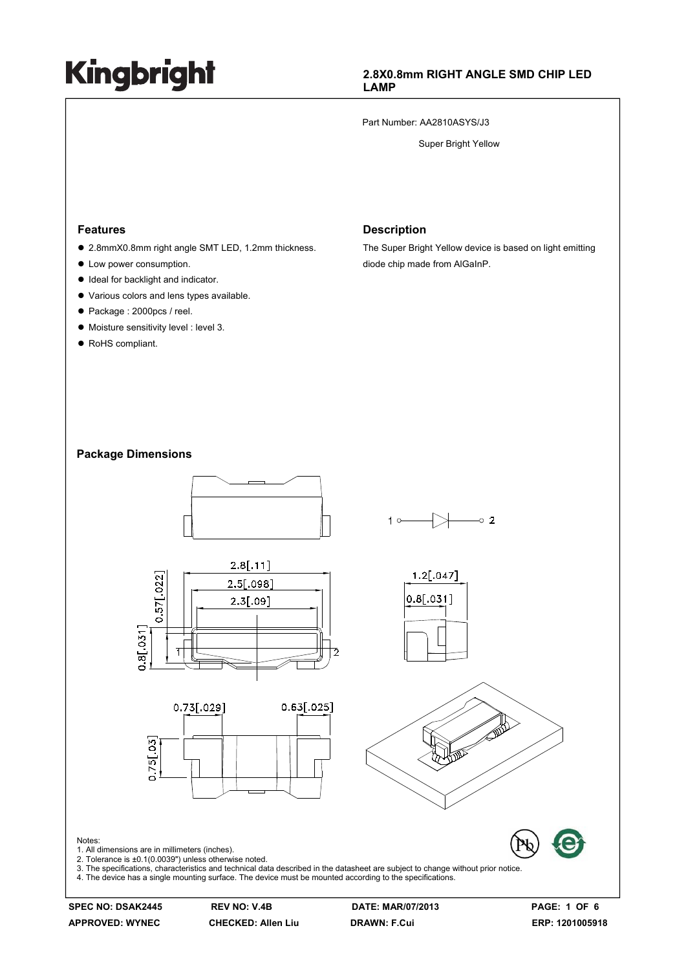#### **2.8X0.8mm RIGHT ANGLE SMD CHIP LED LAMP**

Part Number: AA2810ASYS/J3

Super Bright Yellow

#### **Features**

- 2.8mmX0.8mm right angle SMT LED, 1.2mm thickness.
- Low power consumption.
- $\bullet$  Ideal for backlight and indicator.
- $\bullet$  Various colors and lens types available.
- Package : 2000pcs / reel.
- $\bullet$  Moisture sensitivity level : level 3.
- RoHS compliant.

#### **Description**

The Super Bright Yellow device is based on light emitting diode chip made from AlGaInP.

#### **Package Dimensions**



**APPROVED: WYNEC CHECKED: Allen Liu DRAWN: F.Cui ERP: 1201005918**

Notes:

**SPEC NO: DSAK2445 REV NO: V.4B DATE: MAR/07/2013 PAGE: 1 OF 6**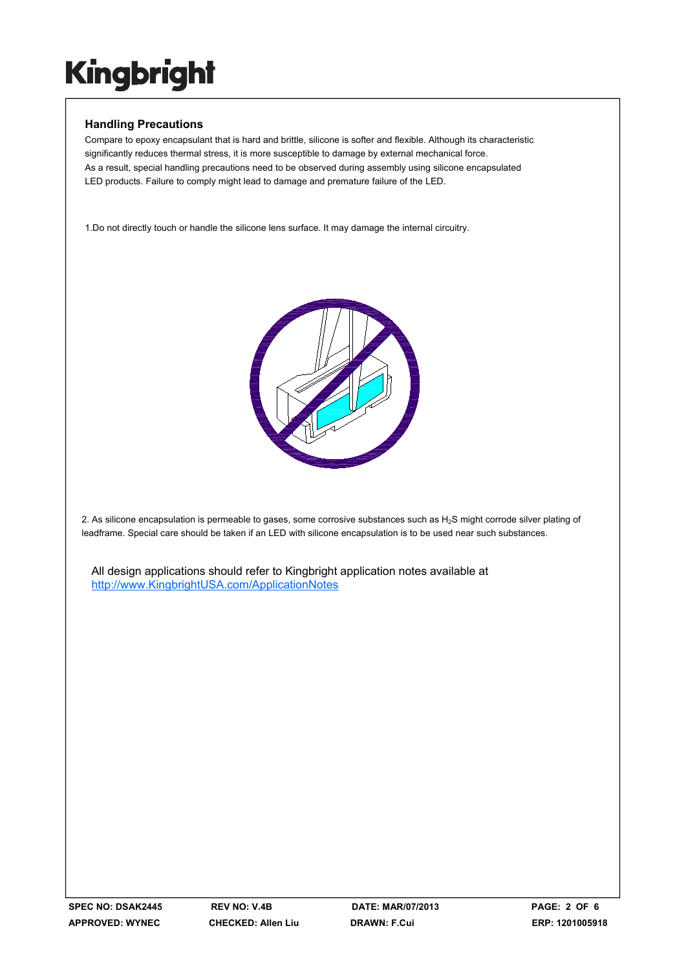### **Handling Precautions**

Compare to epoxy encapsulant that is hard and brittle, silicone is softer and flexible. Although its characteristic significantly reduces thermal stress, it is more susceptible to damage by external mechanical force. As a result, special handling precautions need to be observed during assembly using silicone encapsulated LED products. Failure to comply might lead to damage and premature failure of the LED.

1.Do not directly touch or handle the silicone lens surface. It may damage the internal circuitry.



2. As silicone encapsulation is permeable to gases, some corrosive substances such as H<sub>2</sub>S might corrode silver plating of leadframe. Special care should be taken if an LED with silicone encapsulation is to be used near such substances.

All design applications should refer to Kingbright application notes available at http://www.KingbrightUSA.com/ApplicationNotes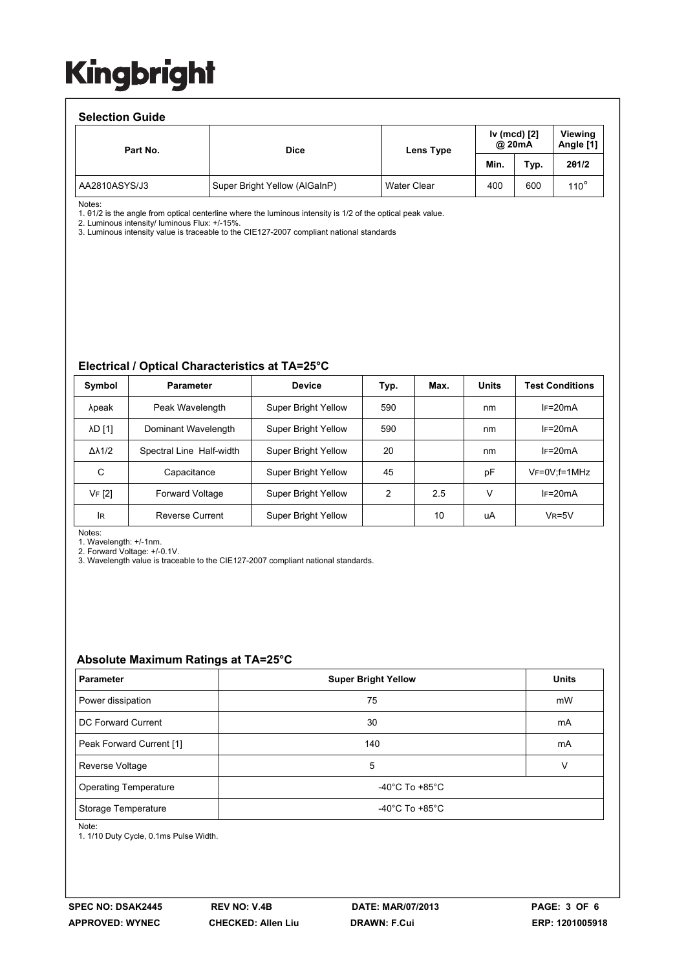#### **Selection Guide**

| <b>OCICONOII OUIUC</b> |                               |             |                        |      |               |                      |  |  |  |
|------------------------|-------------------------------|-------------|------------------------|------|---------------|----------------------|--|--|--|
| Part No.               | <b>Dice</b>                   | Lens Type   | Iv (mcd) [2]<br>@ 20mA |      |               | Viewina<br>Angle [1] |  |  |  |
|                        |                               |             | Min.                   | Typ. | 201/2         |                      |  |  |  |
| AA2810ASYS/J3          | Super Bright Yellow (AlGaInP) | Water Clear | 400                    | 600  | $110^{\circ}$ |                      |  |  |  |

Notes:

1. θ1/2 is the angle from optical centerline where the luminous intensity is 1/2 of the optical peak value.

2. Luminous intensity/ luminous Flux: +/-15%.

3. Luminous intensity value is traceable to the CIE127-2007 compliant national standards

#### **Electrical / Optical Characteristics at TA=25°C**

| Symbol              | <b>Parameter</b>         | <b>Device</b>              | Typ. | Max. | <b>Units</b> | <b>Test Conditions</b> |
|---------------------|--------------------------|----------------------------|------|------|--------------|------------------------|
| λpeak               | Peak Wavelength          | Super Bright Yellow        | 590  |      | nm           | $IF=20mA$              |
| <b>AD [1]</b>       | Dominant Wavelength      | Super Bright Yellow        | 590  |      | nm           | $IF=20mA$              |
| $\Delta\lambda$ 1/2 | Spectral Line Half-width | Super Bright Yellow        | 20   |      | nm           | $IF=20mA$              |
| C                   | Capacitance              | Super Bright Yellow        | 45   |      | pF           | $V_F = 0V$ ; f = 1MHz  |
| VF [2]              | <b>Forward Voltage</b>   | <b>Super Bright Yellow</b> | 2    | 2.5  | V            | $IF=20mA$              |
| lR                  | <b>Reverse Current</b>   | Super Bright Yellow        |      | 10   | uA           | $V_R = 5V$             |

Notes:

1. Wavelength: +/-1nm.

2. Forward Voltage: +/-0.1V.

3. Wavelength value is traceable to the CIE127-2007 compliant national standards.

#### **Absolute Maximum Ratings at TA=25°C**

| <b>Parameter</b>             | <b>Super Bright Yellow</b>           | <b>Units</b> |  |  |
|------------------------------|--------------------------------------|--------------|--|--|
| Power dissipation            | 75                                   | mW           |  |  |
| DC Forward Current           | 30                                   | mA           |  |  |
| Peak Forward Current [1]     | 140                                  | mA           |  |  |
| Reverse Voltage              | 5                                    |              |  |  |
| <b>Operating Temperature</b> | -40 $^{\circ}$ C To +85 $^{\circ}$ C |              |  |  |
| Storage Temperature          | -40 $^{\circ}$ C To +85 $^{\circ}$ C |              |  |  |

Note:

1. 1/10 Duty Cycle, 0.1ms Pulse Width.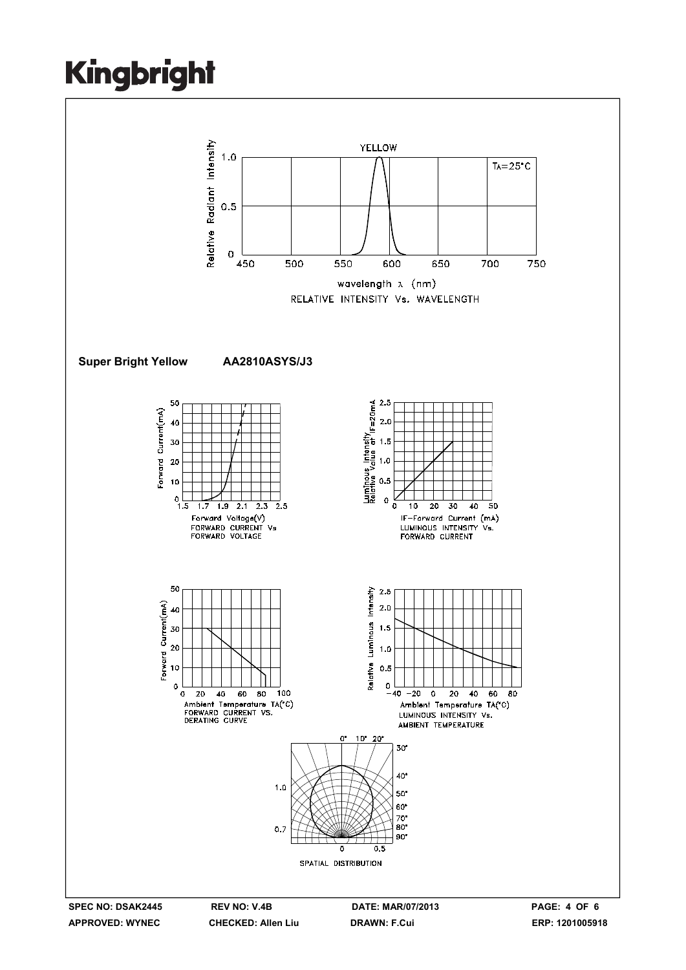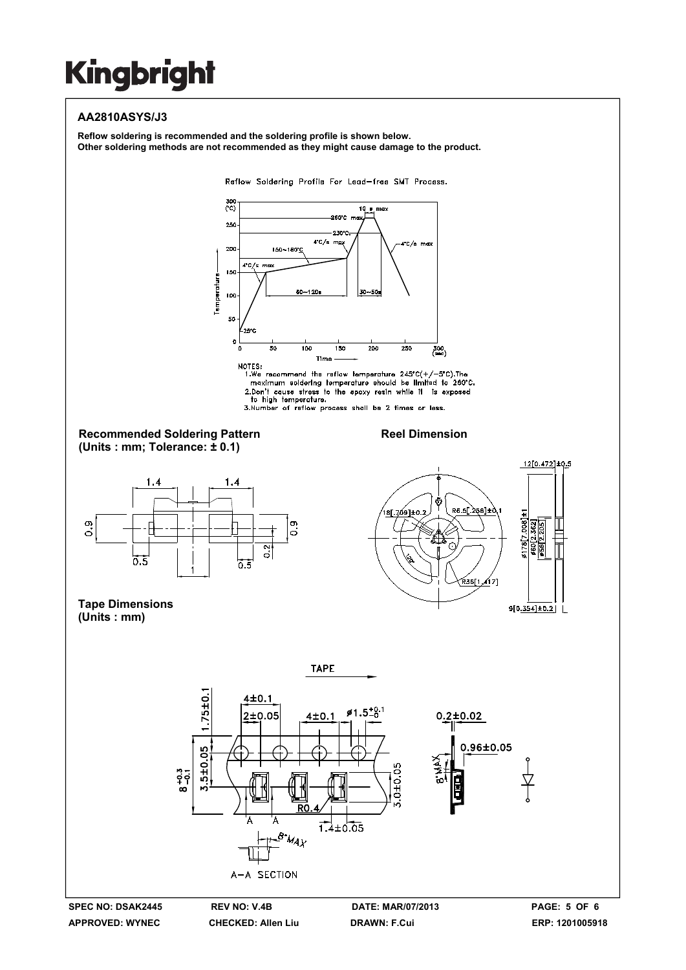### **AA2810ASYS/J3**

**Reflow soldering is recommended and the soldering profile is shown below. Other soldering methods are not recommended as they might cause damage to the product.**